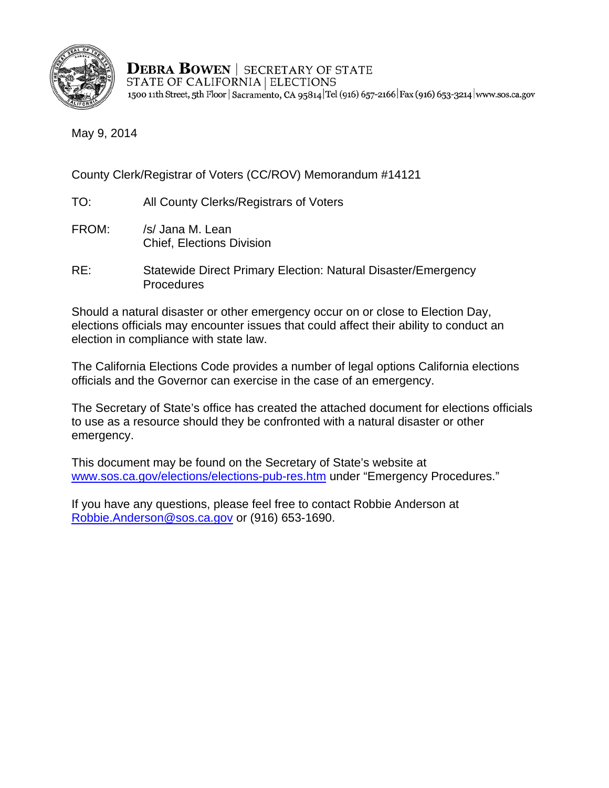

**DEBRA BOWEN | SECRETARY OF STATE** STATE OF CALIFORNIA | ELECTIONS 1500 11th Street, 5th Floor | Sacramento, CA 95814 Tel (916) 657-2166 | Fax (916) 653-3214 | www.sos.ca.gov

May 9, 2014

County Clerk/Registrar of Voters (CC/ROV) Memorandum #14121

- TO: All County Clerks/Registrars of Voters
- FROM: /s/ Jana M. Lean Chief, Elections Division
- RE: Statewide Direct Primary Election: Natural Disaster/Emergency **Procedures**

Should a natural disaster or other emergency occur on or close to Election Day, elections officials may encounter issues that could affect their ability to conduct an election in compliance with state law.

The California Elections Code provides a number of legal options California elections officials and the Governor can exercise in the case of an emergency.

The Secretary of State's office has created the attached document for elections officials to use as a resource should they be confronted with a natural disaster or other emergency.

This document may be found on the Secretary of State's website at www.sos.ca.gov/elections/elections-pub-res.htm under "Emergency Procedures."

If you have any questions, please feel free to contact Robbie Anderson at Robbie.Anderson@sos.ca.gov or (916) 653-1690.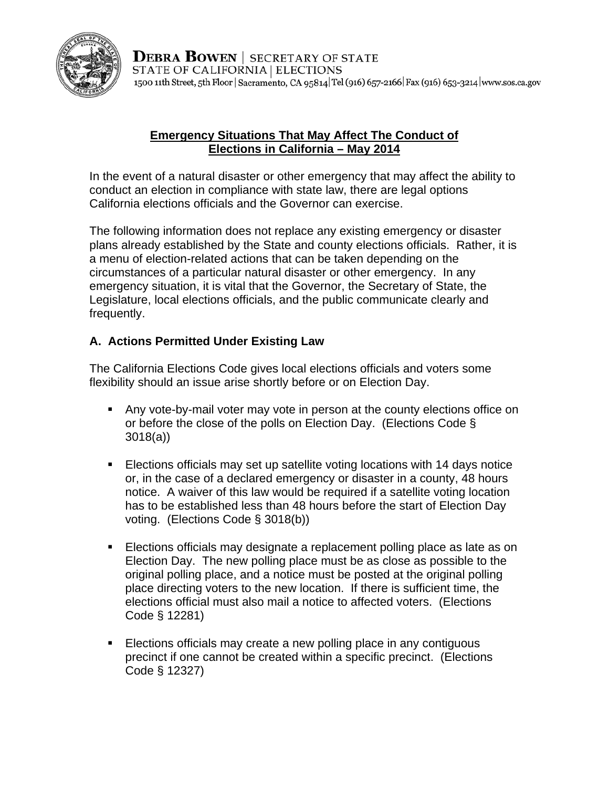

**DEBRA BOWEN** SECRETARY OF STATE STATE OF CALIFORNIA | ELECTIONS 1500 11th Street, 5th Floor | Sacramento, CA 95814 Tel (916) 657-2166 | Fax (916) 653-3214 | www.sos.ca.gov

#### **Emergency Situations That May Affect The Conduct of Elections in California – May 2014**

In the event of a natural disaster or other emergency that may affect the ability to conduct an election in compliance with state law, there are legal options California elections officials and the Governor can exercise.

The following information does not replace any existing emergency or disaster plans already established by the State and county elections officials. Rather, it is a menu of election-related actions that can be taken depending on the circumstances of a particular natural disaster or other emergency. In any emergency situation, it is vital that the Governor, the Secretary of State, the Legislature, local elections officials, and the public communicate clearly and frequently.

# **A. Actions Permitted Under Existing Law**

The California Elections Code gives local elections officials and voters some flexibility should an issue arise shortly before or on Election Day.

- Any vote-by-mail voter may vote in person at the county elections office on or before the close of the polls on Election Day. (Elections Code § 3018(a))
- Elections officials may set up satellite voting locations with 14 days notice or, in the case of a declared emergency or disaster in a county, 48 hours notice. A waiver of this law would be required if a satellite voting location has to be established less than 48 hours before the start of Election Day voting. (Elections Code § 3018(b))
- **Elections officials may designate a replacement polling place as late as on** Election Day. The new polling place must be as close as possible to the original polling place, and a notice must be posted at the original polling place directing voters to the new location. If there is sufficient time, the elections official must also mail a notice to affected voters. (Elections Code § 12281)
- **Elections officials may create a new polling place in any contiguous** precinct if one cannot be created within a specific precinct. (Elections Code § 12327)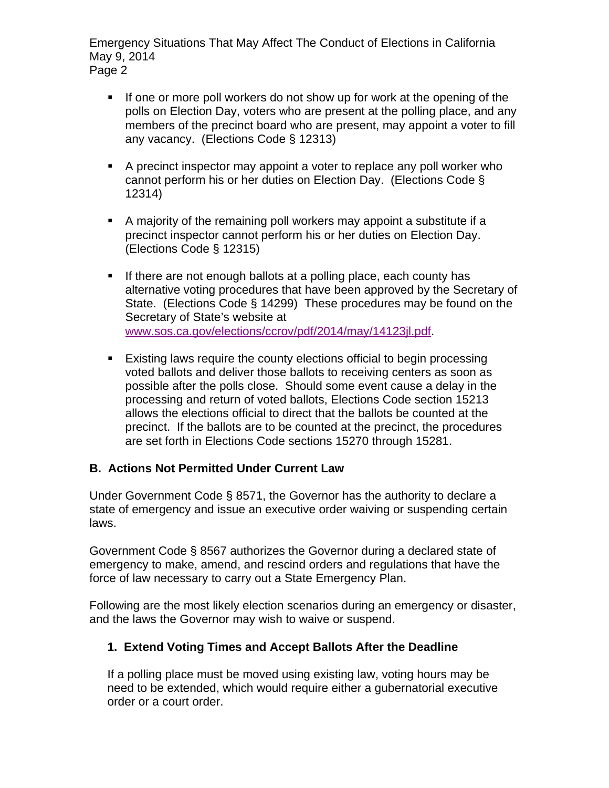Emergency Situations That May Affect The Conduct of Elections in California May 9, 2014 Page 2

- If one or more poll workers do not show up for work at the opening of the polls on Election Day, voters who are present at the polling place, and any members of the precinct board who are present, may appoint a voter to fill any vacancy. (Elections Code § 12313)
- A precinct inspector may appoint a voter to replace any poll worker who cannot perform his or her duties on Election Day. (Elections Code § 12314)
- A majority of the remaining poll workers may appoint a substitute if a precinct inspector cannot perform his or her duties on Election Day. (Elections Code § 12315)
- **If there are not enough ballots at a polling place, each county has** alternative voting procedures that have been approved by the Secretary of State. (Elections Code § 14299) These procedures may be found on the Secretary of State's website at [www.sos.ca.gov/elections/ccrov/pdf/2014/may/14123jl.pdf.](http://www.sos.ca.gov/elections/ccrov/pdf/2014/may/14123jl.pdf)
- Existing laws require the county elections official to begin processing voted ballots and deliver those ballots to receiving centers as soon as possible after the polls close. Should some event cause a delay in the processing and return of voted ballots, Elections Code section 15213 allows the elections official to direct that the ballots be counted at the precinct. If the ballots are to be counted at the precinct, the procedures are set forth in Elections Code sections 15270 through 15281.

## **B. Actions Not Permitted Under Current Law**

Under Government Code § 8571, the Governor has the authority to declare a state of emergency and issue an executive order waiving or suspending certain laws.

Government Code § 8567 authorizes the Governor during a declared state of emergency to make, amend, and rescind orders and regulations that have the force of law necessary to carry out a State Emergency Plan.

Following are the most likely election scenarios during an emergency or disaster, and the laws the Governor may wish to waive or suspend.

## **1. Extend Voting Times and Accept Ballots After the Deadline**

If a polling place must be moved using existing law, voting hours may be need to be extended, which would require either a gubernatorial executive order or a court order.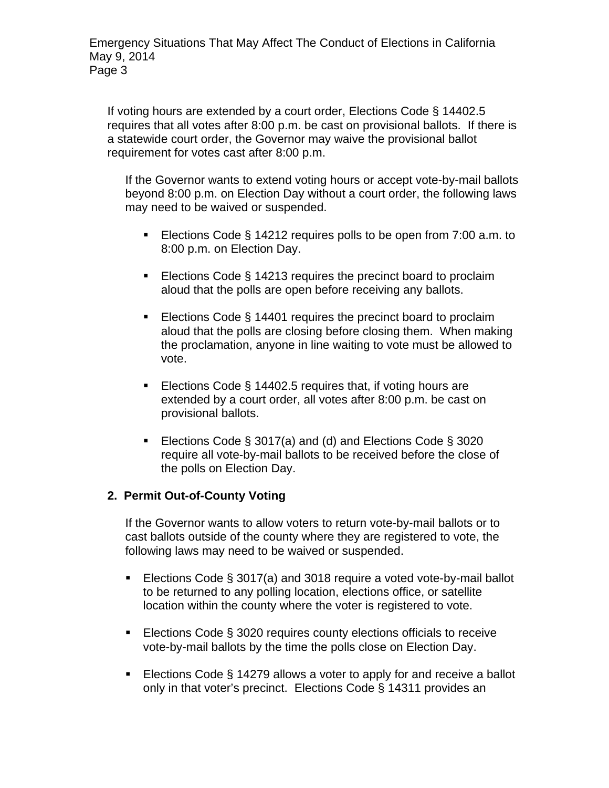If voting hours are extended by a court order, Elections Code § 14402.5 requires that all votes after 8:00 p.m. be cast on provisional ballots. If there is a statewide court order, the Governor may waive the provisional ballot requirement for votes cast after 8:00 p.m.

If the Governor wants to extend voting hours or accept vote-by-mail ballots beyond 8:00 p.m. on Election Day without a court order, the following laws may need to be waived or suspended.

- Elections Code § 14212 requires polls to be open from 7:00 a.m. to 8:00 p.m. on Election Day.
- Elections Code § 14213 requires the precinct board to proclaim aloud that the polls are open before receiving any ballots.
- Elections Code § 14401 requires the precinct board to proclaim aloud that the polls are closing before closing them. When making the proclamation, anyone in line waiting to vote must be allowed to vote.
- Elections Code § 14402.5 requires that, if voting hours are extended by a court order, all votes after 8:00 p.m. be cast on provisional ballots.
- Elections Code § 3017(a) and (d) and Elections Code § 3020 require all vote-by-mail ballots to be received before the close of the polls on Election Day.

## **2. Permit Out-of-County Voting**

If the Governor wants to allow voters to return vote-by-mail ballots or to cast ballots outside of the county where they are registered to vote, the following laws may need to be waived or suspended.

- Elections Code § 3017(a) and 3018 require a voted vote-by-mail ballot to be returned to any polling location, elections office, or satellite location within the county where the voter is registered to vote.
- Elections Code § 3020 requires county elections officials to receive vote-by-mail ballots by the time the polls close on Election Day.
- Elections Code § 14279 allows a voter to apply for and receive a ballot only in that voter's precinct. Elections Code § 14311 provides an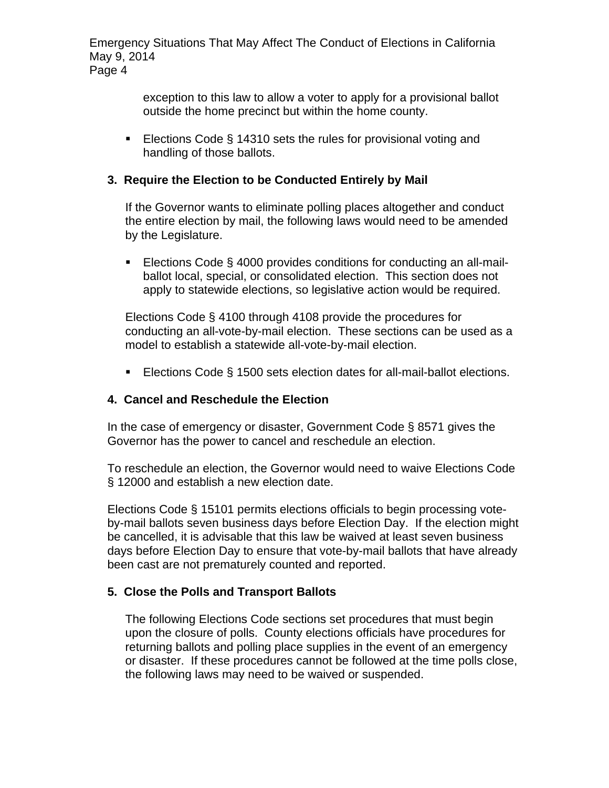Emergency Situations That May Affect The Conduct of Elections in California May 9, 2014 Page 4

> exception to this law to allow a voter to apply for a provisional ballot outside the home precinct but within the home county.

■ Elections Code § 14310 sets the rules for provisional voting and handling of those ballots.

#### **3. Require the Election to be Conducted Entirely by Mail**

If the Governor wants to eliminate polling places altogether and conduct the entire election by mail, the following laws would need to be amended by the Legislature.

■ Elections Code § 4000 provides conditions for conducting an all-mailballot local, special, or consolidated election. This section does not apply to statewide elections, so legislative action would be required.

Elections Code § 4100 through 4108 provide the procedures for conducting an all-vote-by-mail election. These sections can be used as a model to establish a statewide all-vote-by-mail election.

■ Elections Code § 1500 sets election dates for all-mail-ballot elections.

#### **4. Cancel and Reschedule the Election**

In the case of emergency or disaster, Government Code § 8571 gives the Governor has the power to cancel and reschedule an election.

To reschedule an election, the Governor would need to waive Elections Code § 12000 and establish a new election date.

Elections Code § 15101 permits elections officials to begin processing voteby-mail ballots seven business days before Election Day. If the election might be cancelled, it is advisable that this law be waived at least seven business days before Election Day to ensure that vote-by-mail ballots that have already been cast are not prematurely counted and reported.

#### **5. Close the Polls and Transport Ballots**

The following Elections Code sections set procedures that must begin upon the closure of polls. County elections officials have procedures for returning ballots and polling place supplies in the event of an emergency or disaster. If these procedures cannot be followed at the time polls close, the following laws may need to be waived or suspended.